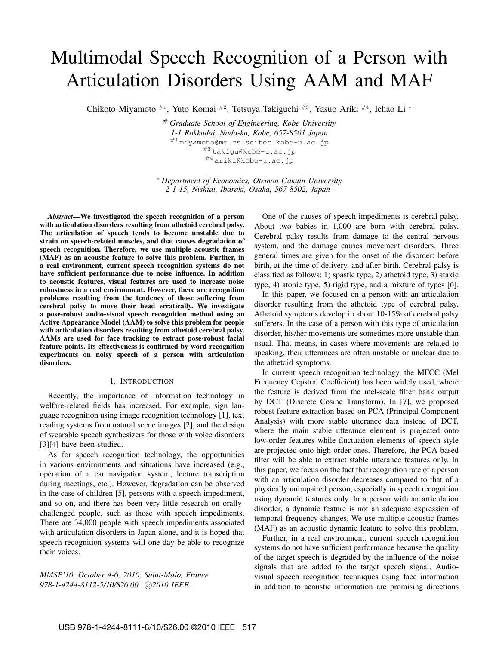# Multimodal Speech Recognition of a Person with Articulation Disorders Using AAM and MAF

Chikoto Miyamoto #1, Yuto Komai #2, Tetsuya Takiguchi #3, Yasuo Ariki #4, Ichao Li *<sup>∗</sup>*

# *Graduate School of Engineering, Kobe University 1-1 Rokkodai, Nada-ku, Kobe, 657-8501 Japan* #1 miyamoto@me.cs.scitec.kobe-u.ac.jp #3 takigu@kobe-u.ac.jp  $#4$  ariki@kobe-u.ac.jp

*<sup>∗</sup> Department of Economics, Otemon Gakuin University 2-1-15, Nishiai, Ibaraki, Osaka, 567-8502, Japan*

*Abstract*—We investigated the speech recognition of a person with articulation disorders resulting from athetoid cerebral palsy. The articulation of speech tends to become unstable due to strain on speech-related muscles, and that causes degradation of speech recognition. Therefore, we use multiple acoustic frames (MAF) as an acoustic feature to solve this problem. Further, in a real environment, current speech recognition systems do not have sufficient performance due to noise influence. In addition to acoustic features, visual features are used to increase noise robustness in a real environment. However, there are recognition problems resulting from the tendency of those suffering from cerebral palsy to move their head erratically. We investigate a pose-robust audio-visual speech recognition method using an Active Appearance Model (AAM) to solve this problem for people with articulation disorders resulting from athetoid cerebral palsy. AAMs are used for face tracking to extract pose-robust facial feature points. Its effectiveness is confirmed by word recognition experiments on noisy speech of a person with articulation disorders.

## I. INTRODUCTION

Recently, the importance of information technology in welfare-related fields has increased. For example, sign language recognition using image recognition technology [1], text reading systems from natural scene images [2], and the design of wearable speech synthesizers for those with voice disorders [3][4] have been studied.

As for speech recognition technology, the opportunities in various environments and situations have increased (e.g., operation of a car navigation system, lecture transcription during meetings, etc.). However, degradation can be observed in the case of children [5], persons with a speech impediment, and so on, and there has been very little research on orallychallenged people, such as those with speech impediments. There are 34,000 people with speech impediments associated with articulation disorders in Japan alone, and it is hoped that speech recognition systems will one day be able to recognize their voices.

*MMSP'10, October 4-6, 2010, Saint-Malo, France. 978-1-4244-8112-5/10/*\$*26.00 ⃝*c *2010 IEEE.*

One of the causes of speech impediments is cerebral palsy. About two babies in 1,000 are born with cerebral palsy. Cerebral palsy results from damage to the central nervous system, and the damage causes movement disorders. Three general times are given for the onset of the disorder: before birth, at the time of delivery, and after birth. Cerebral palsy is classified as follows: 1) spastic type, 2) athetoid type, 3) ataxic type, 4) atonic type, 5) rigid type, and a mixture of types [6].

In this paper, we focused on a person with an articulation disorder resulting from the athetoid type of cerebral palsy. Athetoid symptoms develop in about 10-15% of cerebral palsy sufferers. In the case of a person with this type of articulation disorder, his/her movements are sometimes more unstable than usual. That means, in cases where movements are related to speaking, their utterances are often unstable or unclear due to the athetoid symptoms.

In current speech recognition technology, the MFCC (Mel Frequency Cepstral Coefficient) has been widely used, where the feature is derived from the mel-scale filter bank output by DCT (Discrete Cosine Transform). In [7], we proposed robust feature extraction based on PCA (Principal Component Analysis) with more stable utterance data instead of DCT, where the main stable utterance element is projected onto low-order features while fluctuation elements of speech style are projected onto high-order ones. Therefore, the PCA-based filter will be able to extract stable utterance features only. In this paper, we focus on the fact that recognition rate of a person with an articulation disorder decreases compared to that of a physically unimpaired person, especially in speech recognition using dynamic features only. In a person with an articulation disorder, a dynamic feature is not an adequate expression of temporal frequency changes. We use multiple acoustic frames (MAF) as an acoustic dynamic feature to solve this problem.

Further, in a real environment, current speech recognition systems do not have sufficient performance because the quality of the target speech is degraded by the influence of the noise signals that are added to the target speech signal. Audiovisual speech recognition techniques using face information in addition to acoustic information are promising directions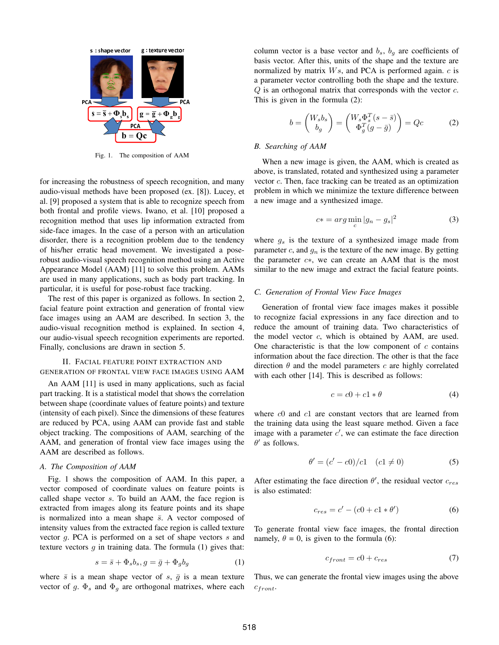

Fig. 1. The composition of AAM

for increasing the robustness of speech recognition, and many audio-visual methods have been proposed (ex. [8]). Lucey, et al. [9] proposed a system that is able to recognize speech from both frontal and profile views. Iwano, et al. [10] proposed a recognition method that uses lip information extracted from side-face images. In the case of a person with an articulation disorder, there is a recognition problem due to the tendency of his/her erratic head movement. We investigated a poserobust audio-visual speech recognition method using an Active Appearance Model (AAM) [11] to solve this problem. AAMs are used in many applications, such as body part tracking. In particular, it is useful for pose-robust face tracking.

The rest of this paper is organized as follows. In section 2, facial feature point extraction and generation of frontal view face images using an AAM are described. In section 3, the audio-visual recognition method is explained. In section 4, our audio-visual speech recognition experiments are reported. Finally, conclusions are drawn in section 5.

# II. FACIAL FEATURE POINT EXTRACTION AND GENERATION OF FRONTAL VIEW FACE IMAGES USING AAM

An AAM [11] is used in many applications, such as facial part tracking. It is a statistical model that shows the correlation between shape (coordinate values of feature points) and texture (intensity of each pixel). Since the dimensions of these features are reduced by PCA, using AAM can provide fast and stable object tracking. The compositions of AAM, searching of the AAM, and generation of frontal view face images using the AAM are described as follows.

## *A. The Composition of AAM*

Fig. 1 shows the composition of AAM. In this paper, a vector composed of coordinate values on feature points is called shape vector *s*. To build an AAM, the face region is extracted from images along its feature points and its shape is normalized into a mean shape  $\bar{s}$ . A vector composed of intensity values from the extracted face region is called texture vector *g*. PCA is performed on a set of shape vectors *s* and texture vectors  $g$  in training data. The formula  $(1)$  gives that:

$$
s = \bar{s} + \Phi_s b_s, g = \bar{g} + \Phi_g b_g \tag{1}
$$

where  $\bar{s}$  is a mean shape vector of *s*,  $\bar{g}$  is a mean texture vector of  $g$ .  $\Phi_s$  and  $\Phi_g$  are orthogonal matrixes, where each column vector is a base vector and  $b_s$ ,  $b_g$  are coefficients of basis vector. After this, units of the shape and the texture are normalized by matrix *W s*, and PCA is performed again. *c* is a parameter vector controlling both the shape and the texture. *Q* is an orthogonal matrix that corresponds with the vector *c*. This is given in the formula (2):

$$
b = \begin{pmatrix} W_s b_s \\ b_g \end{pmatrix} = \begin{pmatrix} W_s \Phi_s^T (s - \bar{s}) \\ \Phi_g^T (g - \bar{g}) \end{pmatrix} = Qc \tag{2}
$$

## *B. Searching of AAM*

When a new image is given, the AAM, which is created as above, is translated, rotated and synthesized using a parameter vector *c*. Then, face tracking can be treated as an optimization problem in which we minimize the texture difference between a new image and a synthesized image.

$$
c* = arg \min_{c} |g_n - g_s|^2 \tag{3}
$$

where *g<sup>s</sup>* is the texture of a synthesized image made from parameter  $c$ , and  $g_n$  is the texture of the new image. By getting the parameter *c∗*, we can create an AAM that is the most similar to the new image and extract the facial feature points.

#### *C. Generation of Frontal View Face Images*

Generation of frontal view face images makes it possible to recognize facial expressions in any face direction and to reduce the amount of training data. Two characteristics of the model vector *c*, which is obtained by AAM, are used. One characteristic is that the low component of *c* contains information about the face direction. The other is that the face direction *θ* and the model parameters *c* are highly correlated with each other [14]. This is described as follows:

$$
c = c0 + c1 * \theta \tag{4}
$$

where *c*0 and *c*1 are constant vectors that are learned from the training data using the least square method. Given a face image with a parameter *c ′* , we can estimate the face direction *θ ′* as follows.

$$
\theta' = (c' - c0)/c1 \quad (c1 \neq 0)
$$
 (5)

After estimating the face direction  $\theta'$ , the residual vector  $c_{res}$ is also estimated:

$$
c_{res} = c' - (c0 + c1 * \theta') \tag{6}
$$

To generate frontal view face images, the frontal direction namely,  $\theta = 0$ , is given to the formula (6):

$$
c_{front} = c0 + c_{res} \tag{7}
$$

Thus, we can generate the frontal view images using the above *cf ront*.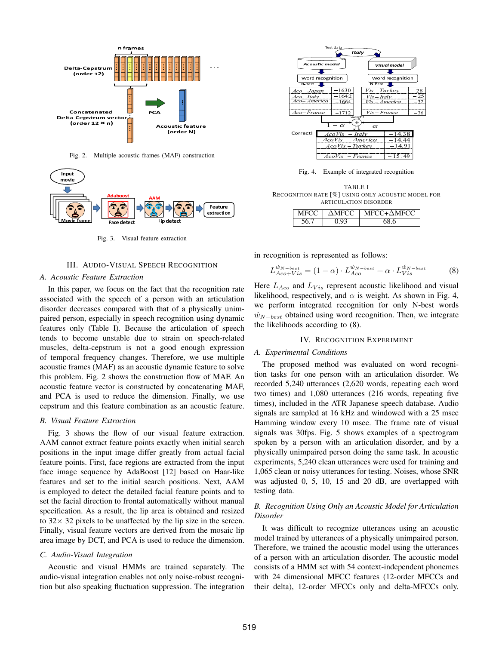

Fig. 2. Multiple acoustic frames (MAF) construction



Fig. 3. Visual feature extraction

# III. AUDIO-VISUAL SPEECH RECOGNITION

## *A. Acoustic Feature Extraction*

In this paper, we focus on the fact that the recognition rate associated with the speech of a person with an articulation disorder decreases compared with that of a physically unimpaired person, especially in speech recognition using dynamic features only (Table I). Because the articulation of speech tends to become unstable due to strain on speech-related muscles, delta-cepstrum is not a good enough expression of temporal frequency changes. Therefore, we use multiple acoustic frames (MAF) as an acoustic dynamic feature to solve this problem. Fig. 2 shows the construction flow of MAF. An acoustic feature vector is constructed by concatenating MAF, and PCA is used to reduce the dimension. Finally, we use cepstrum and this feature combination as an acoustic feature.

#### *B. Visual Feature Extraction*

Fig. 3 shows the flow of our visual feature extraction. AAM cannot extract feature points exactly when initial search positions in the input image differ greatly from actual facial feature points. First, face regions are extracted from the input face image sequence by AdaBoost [12] based on Haar-like features and set to the initial search positions. Next, AAM is employed to detect the detailed facial feature points and to set the facial direction to frontal automatically without manual specification. As a result, the lip area is obtained and resized to 32*×* 32 pixels to be unaffected by the lip size in the screen. Finally, visual feature vectors are derived from the mosaic lip area image by DCT, and PCA is used to reduce the dimension.

## *C. Audio-Visual Integration*

Acoustic and visual HMMs are trained separately. The audio-visual integration enables not only noise-robust recognition but also speaking fluctuation suppression. The integration



Fig. 4. Example of integrated recognition

TABLE I RECOGNITION RATE [%] USING ONLY ACOUSTIC MODEL FOR ARTICULATION DISORDER

| MFCC - | AMECC MECC+AMECC |
|--------|------------------|
|        |                  |

in recognition is represented as follows:

$$
L_{Aco+Vis}^{\acute{w}_{N-best}} = (1 - \alpha) \cdot L_{Aco}^{\acute{w}_{N-best}} + \alpha \cdot L_{Vis}^{\acute{w}_{N-best}} \tag{8}
$$

Here  $L_{Aco}$  and  $L_{Vis}$  represent acoustic likelihood and visual likelihood, respectively, and  $\alpha$  is weight. As shown in Fig. 4, we perform integrated recognition for only N-best words *w*<sup>*N*</sup>*N*−*best* obtained using word recognition. Then, we integrate the likelihoods according to (8).

## IV. RECOGNITION EXPERIMENT

#### *A. Experimental Conditions*

The proposed method was evaluated on word recognition tasks for one person with an articulation disorder. We recorded 5,240 utterances (2,620 words, repeating each word two times) and 1,080 utterances (216 words, repeating five times), included in the ATR Japanese speech database. Audio signals are sampled at 16 kHz and windowed with a 25 msec Hamming window every 10 msec. The frame rate of visual signals was 30fps. Fig. 5 shows examples of a spectrogram spoken by a person with an articulation disorder, and by a physically unimpaired person doing the same task. In acoustic experiments, 5,240 clean utterances were used for training and 1,065 clean or noisy utterances for testing. Noises, whose SNR was adjusted 0, 5, 10, 15 and 20 dB, are overlapped with testing data.

# *B. Recognition Using Only an Acoustic Model for Articulation Disorder*

It was difficult to recognize utterances using an acoustic model trained by utterances of a physically unimpaired person. Therefore, we trained the acoustic model using the utterances of a person with an articulation disorder. The acoustic model consists of a HMM set with 54 context-independent phonemes with 24 dimensional MFCC features (12-order MFCCs and their delta), 12-order MFCCs only and delta-MFCCs only.